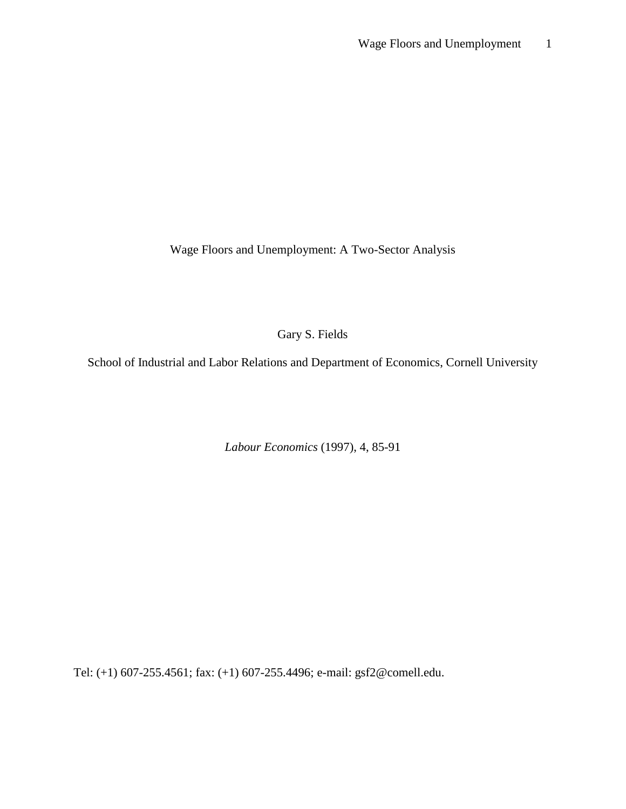Wage Floors and Unemployment: A Two-Sector Analysis

Gary S. Fields

School of Industrial and Labor Relations and Department of Economics, Cornell University

*Labour Economics* (1997), 4, 85-91

Tel: (+1) 607-255.4561; fax: (+1) 607-255.4496; e-mail: gsf2@comell.edu.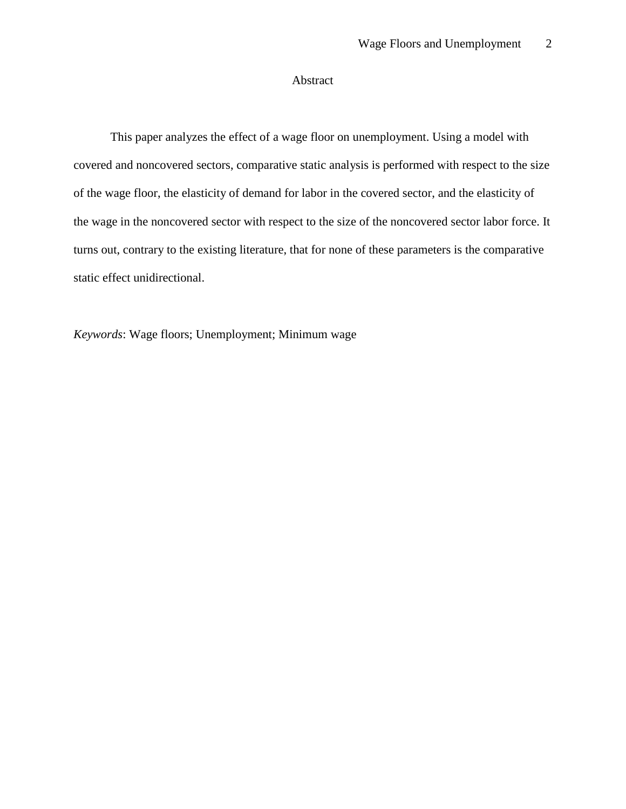# Abstract

This paper analyzes the effect of a wage floor on unemployment. Using a model with covered and noncovered sectors, comparative static analysis is performed with respect to the size of the wage floor, the elasticity of demand for labor in the covered sector, and the elasticity of the wage in the noncovered sector with respect to the size of the noncovered sector labor force. It turns out, contrary to the existing literature, that for none of these parameters is the comparative static effect unidirectional.

*Keywords*: Wage floors; Unemployment; Minimum wage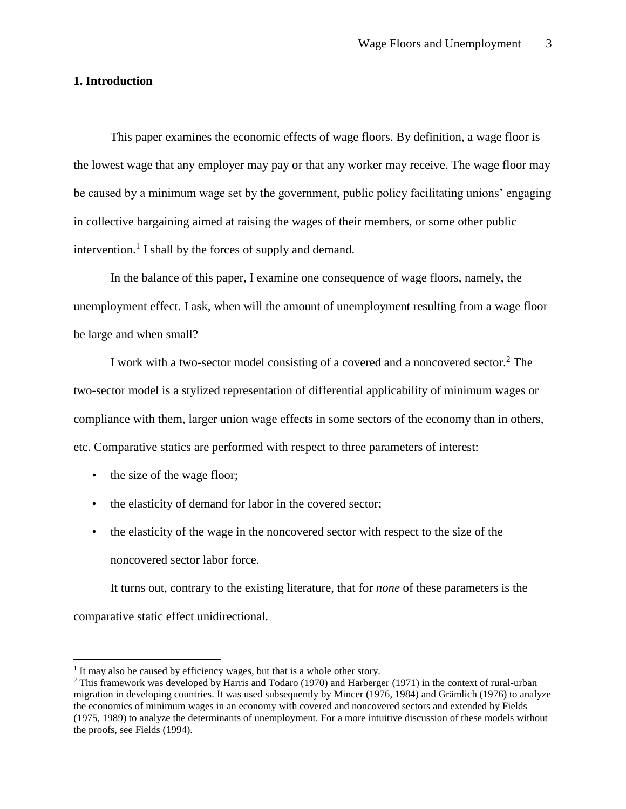#### **1. Introduction**

This paper examines the economic effects of wage floors. By definition, a wage floor is the lowest wage that any employer may pay or that any worker may receive. The wage floor may be caused by a minimum wage set by the government, public policy facilitating unions' engaging in collective bargaining aimed at raising the wages of their members, or some other public intervention.<sup>1</sup> I shall by the forces of supply and demand.

In the balance of this paper, I examine one consequence of wage floors, namely, the unemployment effect. I ask, when will the amount of unemployment resulting from a wage floor be large and when small?

I work with a two-sector model consisting of a covered and a noncovered sector.<sup>2</sup> The two-sector model is a stylized representation of differential applicability of minimum wages or compliance with them, larger union wage effects in some sectors of the economy than in others, etc. Comparative statics are performed with respect to three parameters of interest:

• the size of the wage floor;

l

- the elasticity of demand for labor in the covered sector;
- the elasticity of the wage in the noncovered sector with respect to the size of the noncovered sector labor force.

It turns out, contrary to the existing literature, that for *none* of these parameters is the comparative static effect unidirectional.

<sup>&</sup>lt;sup>1</sup> It may also be caused by efficiency wages, but that is a whole other story.

<sup>2</sup> This framework was developed by Harris and Todaro (1970) and Harberger (1971) in the context of rural-urban migration in developing countries. It was used subsequently by Mincer (1976, 1984) and Grämlich (1976) to analyze the economics of minimum wages in an economy with covered and noncovered sectors and extended by Fields (1975, 1989) to analyze the determinants of unemployment. For a more intuitive discussion of these models without the proofs, see Fields (1994).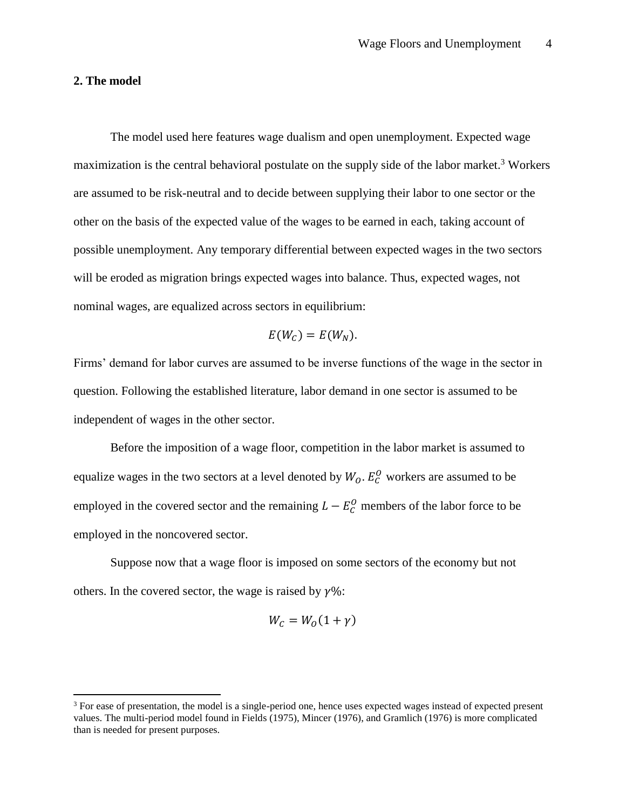#### **2. The model**

 $\overline{\phantom{a}}$ 

The model used here features wage dualism and open unemployment. Expected wage maximization is the central behavioral postulate on the supply side of the labor market.<sup>3</sup> Workers are assumed to be risk-neutral and to decide between supplying their labor to one sector or the other on the basis of the expected value of the wages to be earned in each, taking account of possible unemployment. Any temporary differential between expected wages in the two sectors will be eroded as migration brings expected wages into balance. Thus, expected wages, not nominal wages, are equalized across sectors in equilibrium:

$$
E(W_C) = E(W_N).
$$

Firms' demand for labor curves are assumed to be inverse functions of the wage in the sector in question. Following the established literature, labor demand in one sector is assumed to be independent of wages in the other sector.

Before the imposition of a wage floor, competition in the labor market is assumed to equalize wages in the two sectors at a level denoted by  $W_0$ .  $E_C^0$  workers are assumed to be employed in the covered sector and the remaining  $L - E_C^0$  members of the labor force to be employed in the noncovered sector.

Suppose now that a wage floor is imposed on some sectors of the economy but not others. In the covered sector, the wage is raised by  $\gamma\%$ :

$$
W_C = W_O(1+\gamma)
$$

<sup>&</sup>lt;sup>3</sup> For ease of presentation, the model is a single-period one, hence uses expected wages instead of expected present values. The multi-period model found in Fields (1975), Mincer (1976), and Gramlich (1976) is more complicated than is needed for present purposes.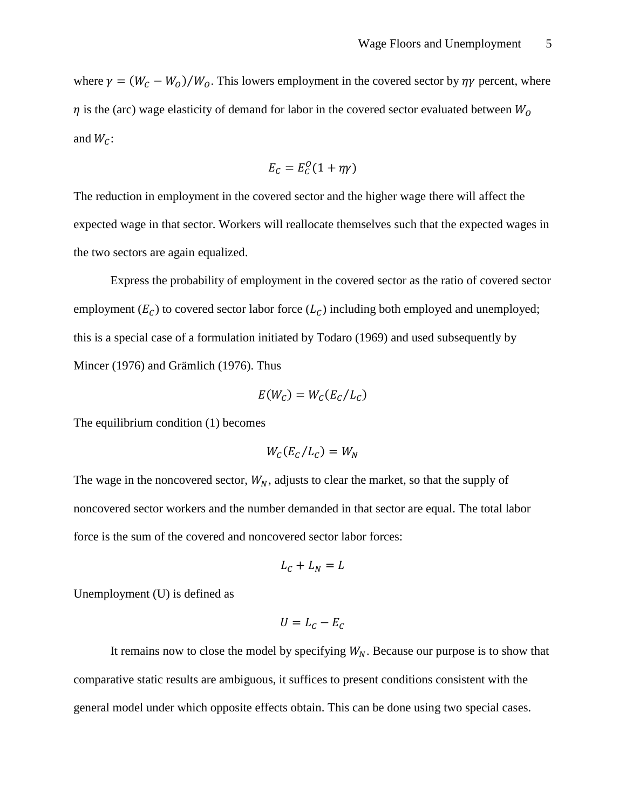where  $\gamma = (W_c - W_o)/W_o$ . This lowers employment in the covered sector by  $\eta \gamma$  percent, where  $\eta$  is the (arc) wage elasticity of demand for labor in the covered sector evaluated between  $W_0$ and  $W_C$ :

$$
E_C = E_C^O(1 + \eta \gamma)
$$

The reduction in employment in the covered sector and the higher wage there will affect the expected wage in that sector. Workers will reallocate themselves such that the expected wages in the two sectors are again equalized.

Express the probability of employment in the covered sector as the ratio of covered sector employment  $(E_C)$  to covered sector labor force  $(L_C)$  including both employed and unemployed; this is a special case of a formulation initiated by Todaro (1969) and used subsequently by Mincer (1976) and Grämlich (1976). Thus

$$
E(W_C) = W_C(E_C/L_C)
$$

The equilibrium condition (1) becomes

$$
W_{C}(E_{C}/L_{C})=W_{N}
$$

The wage in the noncovered sector,  $W_N$ , adjusts to clear the market, so that the supply of noncovered sector workers and the number demanded in that sector are equal. The total labor force is the sum of the covered and noncovered sector labor forces:

$$
L_C + L_N = L
$$

Unemployment (U) is defined as

$$
U=L_c-E_c
$$

It remains now to close the model by specifying  $W_N$ . Because our purpose is to show that comparative static results are ambiguous, it suffices to present conditions consistent with the general model under which opposite effects obtain. This can be done using two special cases.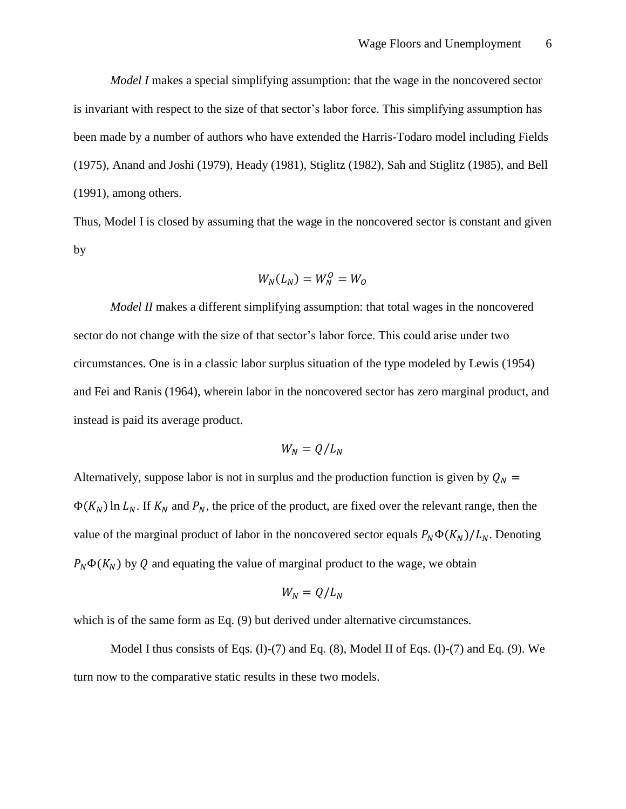*Model I* makes a special simplifying assumption: that the wage in the noncovered sector is invariant with respect to the size of that sector's labor force. This simplifying assumption has been made by a number of authors who have extended the Harris-Todaro model including Fields (1975), Anand and Joshi (1979), Heady (1981), Stiglitz (1982), Sah and Stiglitz (1985), and Bell (1991), among others.

Thus, Model I is closed by assuming that the wage in the noncovered sector is constant and given by

$$
W_N(L_N) = W_N^0 = W_O
$$

*Model II* makes a different simplifying assumption: that total wages in the noncovered sector do not change with the size of that sector's labor force. This could arise under two circumstances. One is in a classic labor surplus situation of the type modeled by Lewis (1954) and Fei and Ranis (1964), wherein labor in the noncovered sector has zero marginal product, and instead is paid its average product.

$$
W_N = Q/L_N
$$

Alternatively, suppose labor is not in surplus and the production function is given by  $Q_N =$  $\Phi(K_N)$  ln  $L_N$ . If  $K_N$  and  $P_N$ , the price of the product, are fixed over the relevant range, then the value of the marginal product of labor in the noncovered sector equals  $P_N \Phi(K_N)/L_N$ . Denoting  $P_N \Phi(K_N)$  by Q and equating the value of marginal product to the wage, we obtain

$$
W_N=Q/L_N
$$

which is of the same form as Eq. (9) but derived under alternative circumstances.

Model I thus consists of Eqs.  $(l)-(7)$  and Eq.  $(8)$ , Model II of Eqs.  $(l)-(7)$  and Eq.  $(9)$ . We turn now to the comparative static results in these two models.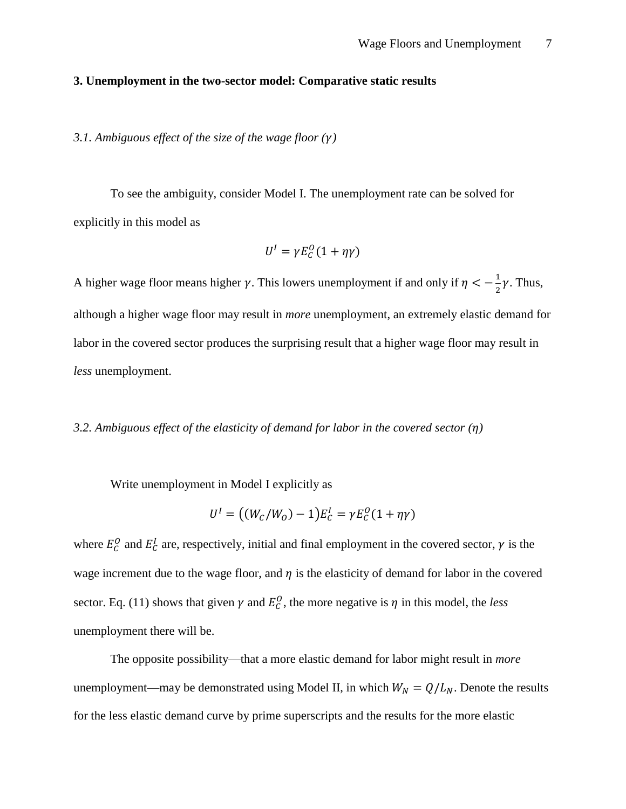#### **3. Unemployment in the two-sector model: Comparative static results**

*3.1. Ambiguous effect of the size of the wage floor ()*

To see the ambiguity, consider Model I. The unemployment rate can be solved for explicitly in this model as

$$
U^I = \gamma E_C^O(1 + \eta \gamma)
$$

A higher wage floor means higher  $\gamma$ . This lowers unemployment if and only if  $\eta < -\frac{1}{3}$  $\frac{1}{2}\gamma$ . Thus, although a higher wage floor may result in *more* unemployment, an extremely elastic demand for labor in the covered sector produces the surprising result that a higher wage floor may result in *less* unemployment.

# *3.2. Ambiguous effect of the elasticity of demand for labor in the covered sector ()*

Write unemployment in Model I explicitly as

$$
U^{I} = ((W_{C}/W_{O}) - 1)E_{C}^{I} = \gamma E_{C}^{O}(1 + \eta \gamma)
$$

where  $E_C^0$  and  $E_C^I$  are, respectively, initial and final employment in the covered sector,  $\gamma$  is the wage increment due to the wage floor, and  $\eta$  is the elasticity of demand for labor in the covered sector. Eq. (11) shows that given  $\gamma$  and  $E_C^0$ , the more negative is  $\eta$  in this model, the *less* unemployment there will be.

The opposite possibility—that a more elastic demand for labor might result in *more* unemployment—may be demonstrated using Model II, in which  $W_N = Q/L_N$ . Denote the results for the less elastic demand curve by prime superscripts and the results for the more elastic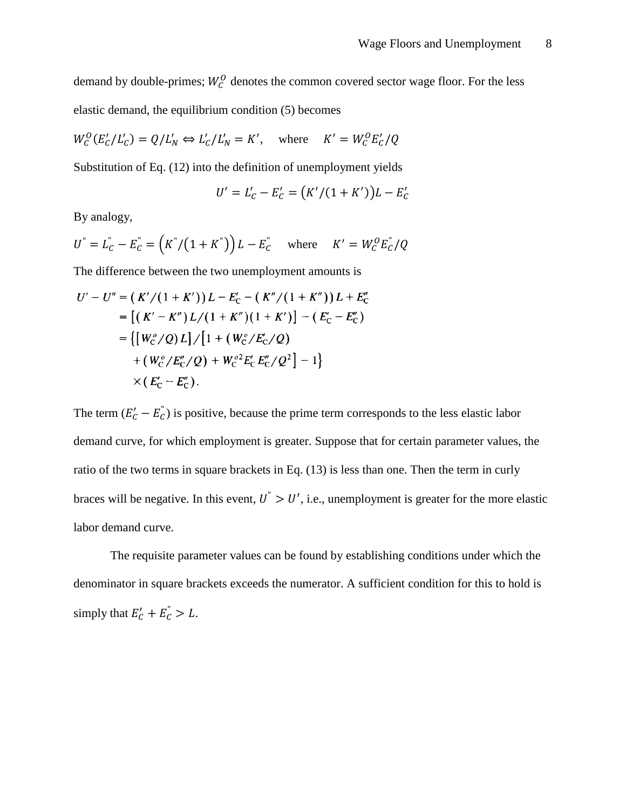demand by double-primes;  $W_c^0$  denotes the common covered sector wage floor. For the less elastic demand, the equilibrium condition (5) becomes

$$
W_C^O(E_C'/L_C') = Q/L_N' \Leftrightarrow L_C'/L_N' = K', \quad \text{where} \quad K' = W_C^O E_C'/Q
$$

Substitution of Eq. (12) into the definition of unemployment yields

$$
U' = L'_C - E'_C = (K'/(1 + K'))L - E'_C
$$

By analogy,

$$
U^{"} = L_C^{"} - E_C^{"} = (K^{"}/(1 + K^{"})) L - E_C^{"}
$$
 where  $K' = W_C^O E_C^{"}/Q$ 

The difference between the two unemployment amounts is

$$
U' - U'' = (K'/(1+K'))L - E'_{C} - (K''/(1+K''))L + E''_{C}
$$
  
= [(K' - K'')L/(1+K'')(1+K')] - (E'\_{C} - E''\_{C})  
= { [W\_{C}^o/Q)L ]/[1 + (W\_{C}^o/E'\_{C}/Q)  
+ (W\_{C}^o/E''\_{C}/Q) + W\_{C}^{o2}E'\_{C}E''\_{C}/Q^{2}] - 1}  
× (E'\_{C} - E''\_{C}).

The term  $(E'_{c} - E_{c}^{T})$  is positive, because the prime term corresponds to the less elastic labor demand curve, for which employment is greater. Suppose that for certain parameter values, the ratio of the two terms in square brackets in Eq. (13) is less than one. Then the term in curly braces will be negative. In this event,  $U^{\prime} > U'$ , i.e., unemployment is greater for the more elastic labor demand curve.

The requisite parameter values can be found by establishing conditions under which the denominator in square brackets exceeds the numerator. A sufficient condition for this to hold is simply that  $E'_{C} + E_{C}^{T} > L$ .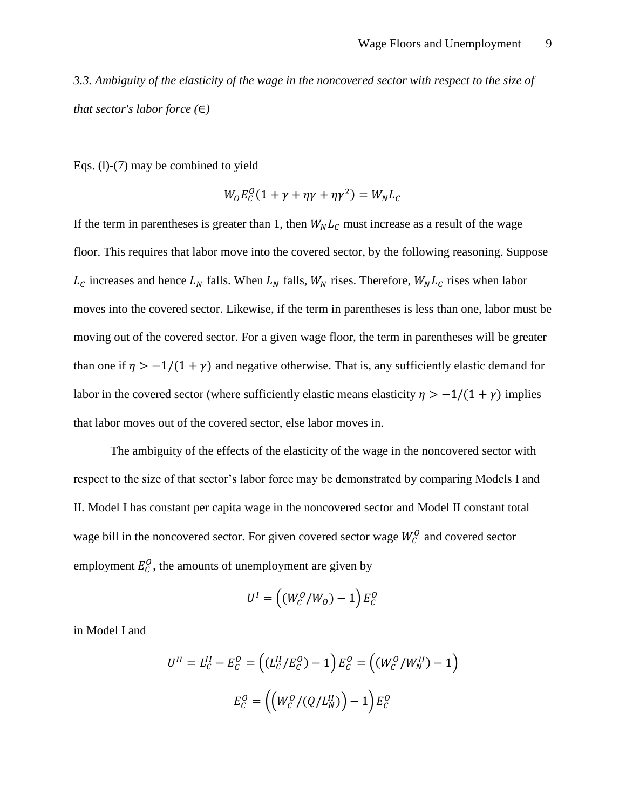*3.3. Ambiguity of the elasticity of the wage in the noncovered sector with respect to the size of that sector's labor force (*∈*)*

Eqs. (l)-(7) may be combined to yield

$$
W_0 E_C^0 (1 + \gamma + \eta \gamma + \eta \gamma^2) = W_N L_C
$$

If the term in parentheses is greater than 1, then  $W_N L_C$  must increase as a result of the wage floor. This requires that labor move into the covered sector, by the following reasoning. Suppose  $L_c$  increases and hence  $L_N$  falls. When  $L_N$  falls,  $W_N$  rises. Therefore,  $W_N L_c$  rises when labor moves into the covered sector. Likewise, if the term in parentheses is less than one, labor must be moving out of the covered sector. For a given wage floor, the term in parentheses will be greater than one if  $\eta > -1/(1 + \gamma)$  and negative otherwise. That is, any sufficiently elastic demand for labor in the covered sector (where sufficiently elastic means elasticity  $\eta > -1/(1 + \gamma)$  implies that labor moves out of the covered sector, else labor moves in.

The ambiguity of the effects of the elasticity of the wage in the noncovered sector with respect to the size of that sector's labor force may be demonstrated by comparing Models I and II. Model I has constant per capita wage in the noncovered sector and Model II constant total wage bill in the noncovered sector. For given covered sector wage  $W_C^0$  and covered sector employment  $E_C^0$ , the amounts of unemployment are given by

$$
U^I = \left( \left( W_C^O / W_O \right) - 1 \right) E_C^O
$$

in Model I and

$$
U^{II} = L_C^{II} - E_C^{O} = ((L_C^{II}/E_C^{O}) - 1) E_C^{O} = ((W_C^{O}/W_N^{II}) - 1)
$$

$$
E_C^{O} = ((W_C^{O}/(Q/L_N^{II})) - 1) E_C^{O}
$$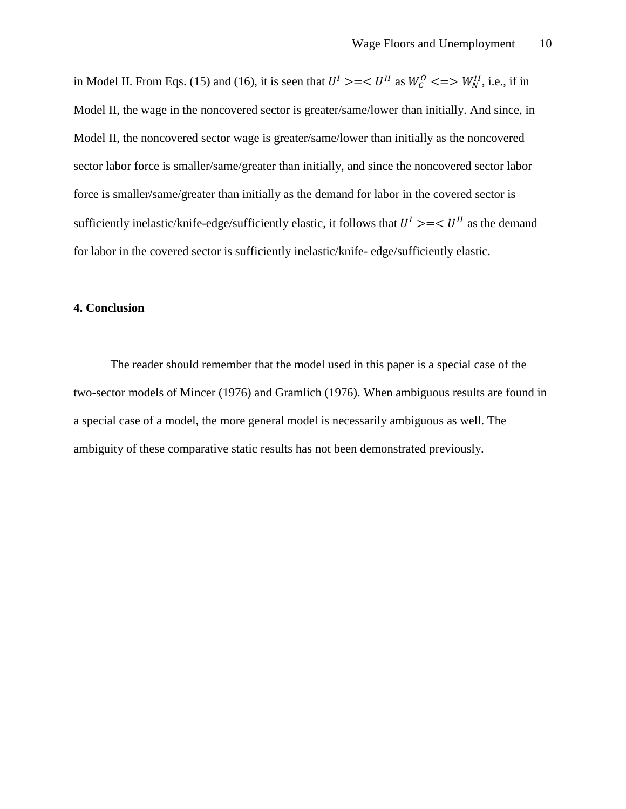in Model II. From Eqs. (15) and (16), it is seen that  $U^I \geq -\langle U^{II} \rangle$  as  $W_C^0 \leq \Longrightarrow W_N^{II}$ , i.e., if in Model II, the wage in the noncovered sector is greater/same/lower than initially. And since, in Model II, the noncovered sector wage is greater/same/lower than initially as the noncovered sector labor force is smaller/same/greater than initially, and since the noncovered sector labor force is smaller/same/greater than initially as the demand for labor in the covered sector is sufficiently inelastic/knife-edge/sufficiently elastic, it follows that  $U^I \geq -\langle U^I \rangle$  as the demand for labor in the covered sector is sufficiently inelastic/knife- edge/sufficiently elastic.

## **4. Conclusion**

The reader should remember that the model used in this paper is a special case of the two-sector models of Mincer (1976) and Gramlich (1976). When ambiguous results are found in a special case of a model, the more general model is necessarily ambiguous as well. The ambiguity of these comparative static results has not been demonstrated previously.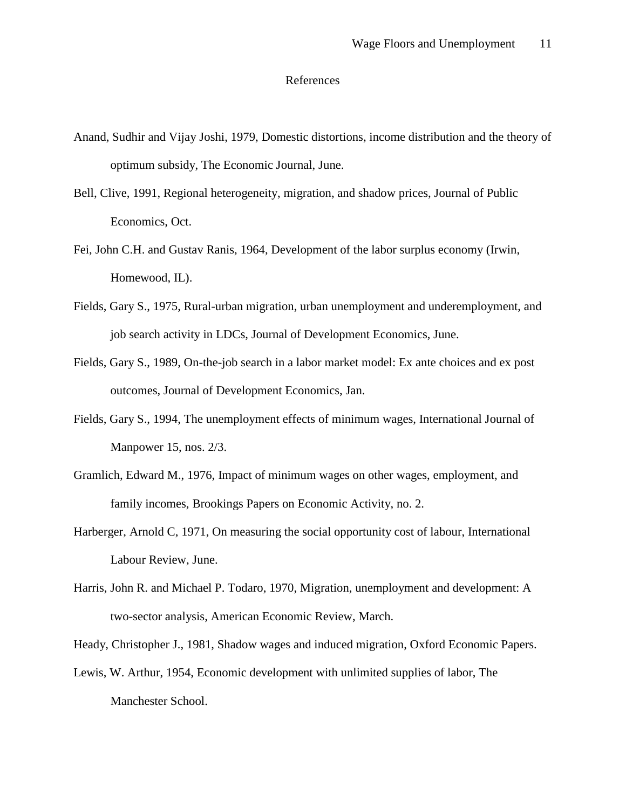## References

- Anand, Sudhir and Vijay Joshi, 1979, Domestic distortions, income distribution and the theory of optimum subsidy, The Economic Journal, June.
- Bell, Clive, 1991, Regional heterogeneity, migration, and shadow prices, Journal of Public Economics, Oct.
- Fei, John C.H. and Gustav Ranis, 1964, Development of the labor surplus economy (Irwin, Homewood, IL).
- Fields, Gary S., 1975, Rural-urban migration, urban unemployment and underemployment, and job search activity in LDCs, Journal of Development Economics, June.
- Fields, Gary S., 1989, On-the-job search in a labor market model: Ex ante choices and ex post outcomes, Journal of Development Economics, Jan.
- Fields, Gary S., 1994, The unemployment effects of minimum wages, International Journal of Manpower 15, nos. 2/3.
- Gramlich, Edward M., 1976, Impact of minimum wages on other wages, employment, and family incomes, Brookings Papers on Economic Activity, no. 2.
- Harberger, Arnold C, 1971, On measuring the social opportunity cost of labour, International Labour Review, June.
- Harris, John R. and Michael P. Todaro, 1970, Migration, unemployment and development: A two-sector analysis, American Economic Review, March.
- Heady, Christopher J., 1981, Shadow wages and induced migration, Oxford Economic Papers.
- Lewis, W. Arthur, 1954, Economic development with unlimited supplies of labor, The Manchester School.